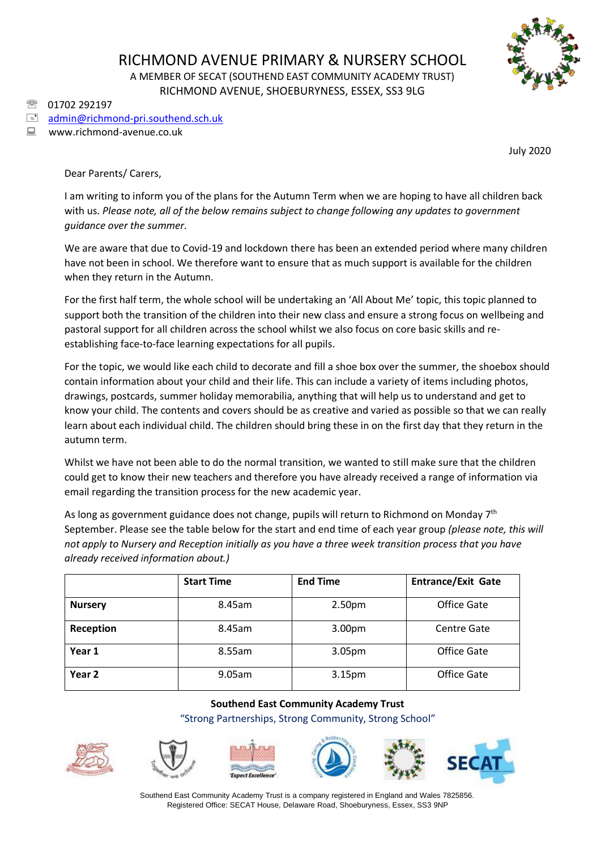

01702 292197

## $\equiv$  [admin@richmond-pri.southend.sch.uk](mailto:admin@richmond-pri.southend.sch.uk)

www.richmond-avenue.co.uk

July 2020

Dear Parents/ Carers,

I am writing to inform you of the plans for the Autumn Term when we are hoping to have all children back with us. *Please note, all of the below remains subject to change following any updates to government guidance over the summer.*

We are aware that due to Covid-19 and lockdown there has been an extended period where many children have not been in school. We therefore want to ensure that as much support is available for the children when they return in the Autumn.

For the first half term, the whole school will be undertaking an 'All About Me' topic, this topic planned to support both the transition of the children into their new class and ensure a strong focus on wellbeing and pastoral support for all children across the school whilst we also focus on core basic skills and reestablishing face-to-face learning expectations for all pupils.

For the topic, we would like each child to decorate and fill a shoe box over the summer, the shoebox should contain information about your child and their life. This can include a variety of items including photos, drawings, postcards, summer holiday memorabilia, anything that will help us to understand and get to know your child. The contents and covers should be as creative and varied as possible so that we can really learn about each individual child. The children should bring these in on the first day that they return in the autumn term.

Whilst we have not been able to do the normal transition, we wanted to still make sure that the children could get to know their new teachers and therefore you have already received a range of information via email regarding the transition process for the new academic year.

As long as government guidance does not change, pupils will return to Richmond on Monday  $7<sup>th</sup>$ September. Please see the table below for the start and end time of each year group *(please note, this will not apply to Nursery and Reception initially as you have a three week transition process that you have already received information about.)*

|                   | <b>Start Time</b> | <b>End Time</b>    | <b>Entrance/Exit Gate</b> |
|-------------------|-------------------|--------------------|---------------------------|
| <b>Nursery</b>    | 8.45am            | 2.50 <sub>pm</sub> | Office Gate               |
| Reception         | 8.45am            | 3.00pm             | Centre Gate               |
| Year 1            | 8.55am            | 3.05pm             | Office Gate               |
| Year <sub>2</sub> | 9.05am            | 3.15pm             | Office Gate               |

## **Southend East Community Academy Trust** "Strong Partnerships, Strong Community, Strong School"











Southend East Community Academy Trust is a company registered in England and Wales 7825856. Registered Office: SECAT House, Delaware Road, Shoeburyness, Essex, SS3 9NP